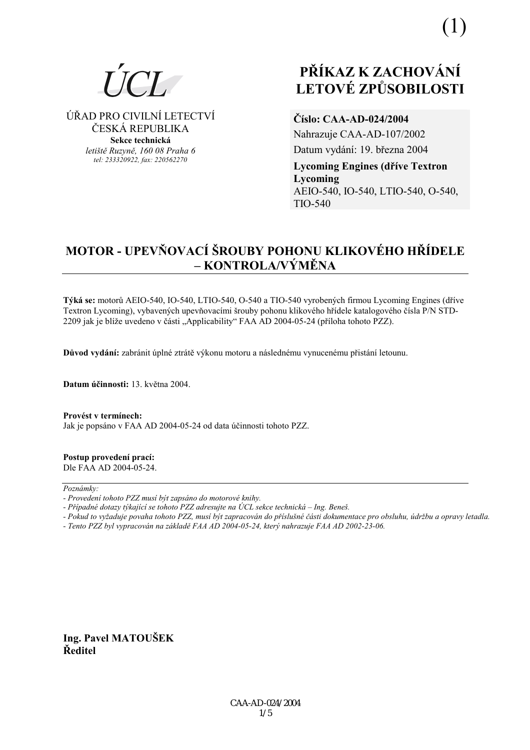

ÚŘAD PRO CIVILNÍ LETECTVÍ ČESKÁ REPUBLIKA Sekce technická letiště Ruzvně, 160 08 Praha 6

tel: 233320922, fax: 220562270

# PŘÍKAZ K ZACHOVÁNÍ **LETOVÉ ZPŮSOBILOSTI**

Číslo: CAA-AD-024/2004

Nahrazuje CAA-AD-107/2002 Datum vydání: 19. března 2004

**Lycoming Engines (dříve Textron** Lycoming AEIO-540, IO-540, LTIO-540, O-540, TIO-540

# MOTOR - UPEVŇOVACÍ ŠROUBY POHONU KLIKOVÉHO HŘÍDELE  $-$  KONTROLA/VÝMĚNA

Týká se: motorů AEIO-540, IO-540, LTIO-540, O-540 a TIO-540 vyrobených firmou Lycoming Engines (dříve Textron Lycoming), vybavených upevňovacími šrouby pohonu klikového hřídele katalogového čísla P/N STD-2209 jak je blíže uvedeno v části "Applicability" FAA AD 2004-05-24 (příloha tohoto PZZ).

Důvod vydání: zabránit úplné ztrátě výkonu motoru a následnému vynucenému přistání letounu.

Datum účinnosti: 13. května 2004.

Provést v termínech: Jak je popsáno v FAA AD 2004-05-24 od data účinnosti tohoto PZZ.

#### Postup provedení prací: Dle FAA AD 2004-05-24.

#### $Poznámkv$

- Provedení tohoto PZZ musí být zapsáno do motorové knihy.
- Případné dotazy týkající se tohoto PZZ adresujte na ÚCL sekce technická Ing. Beneš.
- Pokud to vyžaduje povaha tohoto PZZ, musí být zapracován do příslušné části dokumentace pro obsluhu, údržbu a opravy letadla.
- Tento PZZ byl vypracován na základě FAA AD 2004-05-24, který nahrazuje FAA AD 2002-23-06.

Ing. Pavel MATOUŠEK Ředitel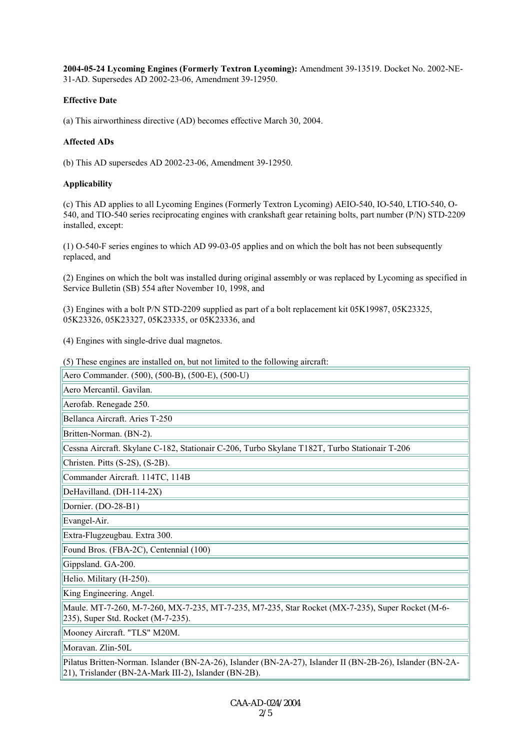**2004-05-24 Lycoming Engines (Formerly Textron Lycoming):** Amendment 39-13519. Docket No. 2002-NE-31-AD. Supersedes AD 2002-23-06, Amendment 39-12950.

# **Effective Date**

(a) This airworthiness directive (AD) becomes effective March 30, 2004.

# **Affected ADs**

(b) This AD supersedes AD 2002-23-06, Amendment 39-12950.

# **Applicability**

(c) This AD applies to all Lycoming Engines (Formerly Textron Lycoming) AEIO-540, IO-540, LTIO-540, O-540, and TIO-540 series reciprocating engines with crankshaft gear retaining bolts, part number (P/N) STD-2209 installed, except:

(1) O-540-F series engines to which AD 99-03-05 applies and on which the bolt has not been subsequently replaced, and

(2) Engines on which the bolt was installed during original assembly or was replaced by Lycoming as specified in Service Bulletin (SB) 554 after November 10, 1998, and

(3) Engines with a bolt P/N STD-2209 supplied as part of a bolt replacement kit 05K19987, 05K23325, 05K23326, 05K23327, 05K23335, or 05K23336, and

(4) Engines with single-drive dual magnetos.

(5) These engines are installed on, but not limited to the following aircraft:

Aero Commander. (500), (500-B), (500-E), (500-U)

Aero Mercantil. Gavilan.

Aerofab. Renegade 250.

Bellanca Aircraft. Aries T-250

Britten-Norman. (BN-2).

Cessna Aircraft. Skylane C-182, Stationair C-206, Turbo Skylane T182T, Turbo Stationair T-206

Christen. Pitts (S-2S), (S-2B).

Commander Aircraft. 114TC, 114B

DeHavilland. (DH-114-2X)

Dornier. (DO-28-B1)

Evangel-Air.

Extra-Flugzeugbau. Extra 300.

Found Bros. (FBA-2C), Centennial (100)

Gippsland. GA-200.

Helio. Military (H-250).

King Engineering. Angel.

Maule. MT-7-260, M-7-260, MX-7-235, MT-7-235, M7-235, Star Rocket (MX-7-235), Super Rocket (M-6- 235), Super Std. Rocket (M-7-235).

Mooney Aircraft. "TLS" M20M.

Moravan. Zlin-50L

Pilatus Britten-Norman. Islander (BN-2A-26), Islander (BN-2A-27), Islander II (BN-2B-26), Islander (BN-2A-21), Trislander (BN-2A-Mark III-2), Islander (BN-2B).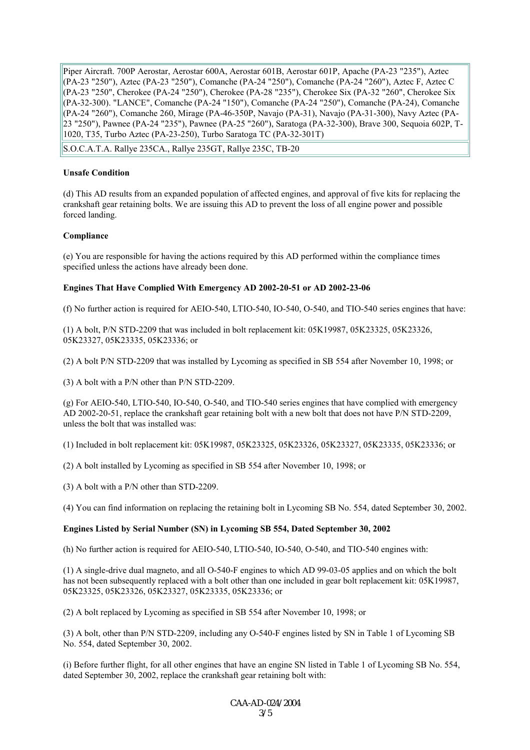Piper Aircraft. 700P Aerostar, Aerostar 600A, Aerostar 601B, Aerostar 601P, Apache (PA-23 "235"), Aztec (PA-23 "250"), Aztec (PA-23 "250"), Comanche (PA-24 "250"), Comanche (PA-24 "260"), Aztec F, Aztec C (PA-23 "250", Cherokee (PA-24 "250"), Cherokee (PA-28 "235"), Cherokee Six (PA-32 "260", Cherokee Six (PA-32-300). "LANCE", Comanche (PA-24 "150"), Comanche (PA-24 "250"), Comanche (PA-24), Comanche (PA-24 "260"), Comanche 260, Mirage (PA-46-350P, Navajo (PA-31), Navajo (PA-31-300), Navy Aztec (PA-23 "250"), Pawnee (PA-24 "235"), Pawnee (PA-25 "260"), Saratoga (PA-32-300), Brave 300, Sequoia 602P, T-1020, T35, Turbo Aztec (PA-23-250), Turbo Saratoga TC (PA-32-301T)

S.O.C.A.T.A. Rallye 235CA., Rallye 235GT, Rallye 235C, TB-20

#### **Unsafe Condition**

(d) This AD results from an expanded population of affected engines, and approval of five kits for replacing the crankshaft gear retaining bolts. We are issuing this AD to prevent the loss of all engine power and possible forced landing.

#### **Compliance**

(e) You are responsible for having the actions required by this AD performed within the compliance times specified unless the actions have already been done.

### **Engines That Have Complied With Emergency AD 2002-20-51 or AD 2002-23-06**

(f) No further action is required for AEIO-540, LTIO-540, IO-540, O-540, and TIO-540 series engines that have:

(1) A bolt, P/N STD-2209 that was included in bolt replacement kit: 05K19987, 05K23325, 05K23326, 05K23327, 05K23335, 05K23336; or

(2) A bolt P/N STD-2209 that was installed by Lycoming as specified in SB 554 after November 10, 1998; or

(3) A bolt with a P/N other than P/N STD-2209.

(g) For AEIO-540, LTIO-540, IO-540, O-540, and TIO-540 series engines that have complied with emergency AD 2002-20-51, replace the crankshaft gear retaining bolt with a new bolt that does not have P/N STD-2209, unless the bolt that was installed was:

(1) Included in bolt replacement kit: 05K19987, 05K23325, 05K23326, 05K23327, 05K23335, 05K23336; or

(2) A bolt installed by Lycoming as specified in SB 554 after November 10, 1998; or

(3) A bolt with a P/N other than STD-2209.

(4) You can find information on replacing the retaining bolt in Lycoming SB No. 554, dated September 30, 2002.

#### **Engines Listed by Serial Number (SN) in Lycoming SB 554, Dated September 30, 2002**

(h) No further action is required for AEIO-540, LTIO-540, IO-540, O-540, and TIO-540 engines with:

(1) A single-drive dual magneto, and all O-540-F engines to which AD 99-03-05 applies and on which the bolt has not been subsequently replaced with a bolt other than one included in gear bolt replacement kit: 05K19987, 05K23325, 05K23326, 05K23327, 05K23335, 05K23336; or

(2) A bolt replaced by Lycoming as specified in SB 554 after November 10, 1998; or

(3) A bolt, other than P/N STD-2209, including any O-540-F engines listed by SN in Table 1 of Lycoming SB No. 554, dated September 30, 2002.

(i) Before further flight, for all other engines that have an engine SN listed in Table 1 of Lycoming SB No. 554, dated September 30, 2002, replace the crankshaft gear retaining bolt with: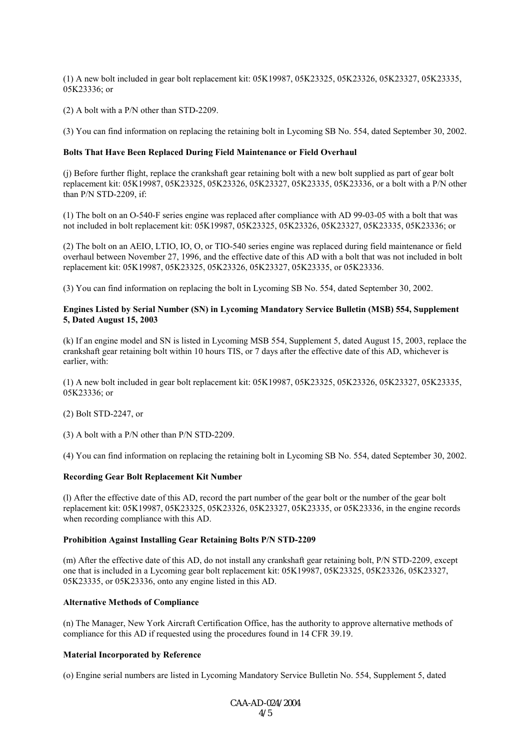(1) A new bolt included in gear bolt replacement kit: 05K19987, 05K23325, 05K23326, 05K23327, 05K23335, 05K23336; or

(2) A bolt with a P/N other than STD-2209.

(3) You can find information on replacing the retaining bolt in Lycoming SB No. 554, dated September 30, 2002.

#### **Bolts That Have Been Replaced During Field Maintenance or Field Overhaul**

(j) Before further flight, replace the crankshaft gear retaining bolt with a new bolt supplied as part of gear bolt replacement kit: 05K19987, 05K23325, 05K23326, 05K23327, 05K23335, 05K23336, or a bolt with a P/N other than P/N STD-2209, if:

(1) The bolt on an O-540-F series engine was replaced after compliance with AD 99-03-05 with a bolt that was not included in bolt replacement kit: 05K19987, 05K23325, 05K23326, 05K23327, 05K23335, 05K23336; or

(2) The bolt on an AEIO, LTIO, IO, O, or TIO-540 series engine was replaced during field maintenance or field overhaul between November 27, 1996, and the effective date of this AD with a bolt that was not included in bolt replacement kit: 05K19987, 05K23325, 05K23326, 05K23327, 05K23335, or 05K23336.

(3) You can find information on replacing the bolt in Lycoming SB No. 554, dated September 30, 2002.

#### **Engines Listed by Serial Number (SN) in Lycoming Mandatory Service Bulletin (MSB) 554, Supplement 5, Dated August 15, 2003**

(k) If an engine model and SN is listed in Lycoming MSB 554, Supplement 5, dated August 15, 2003, replace the crankshaft gear retaining bolt within 10 hours TIS, or 7 days after the effective date of this AD, whichever is earlier, with:

(1) A new bolt included in gear bolt replacement kit: 05K19987, 05K23325, 05K23326, 05K23327, 05K23335, 05K23336; or

(2) Bolt STD-2247, or

(3) A bolt with a P/N other than P/N STD-2209.

(4) You can find information on replacing the retaining bolt in Lycoming SB No. 554, dated September 30, 2002.

#### **Recording Gear Bolt Replacement Kit Number**

(l) After the effective date of this AD, record the part number of the gear bolt or the number of the gear bolt replacement kit: 05K19987, 05K23325, 05K23326, 05K23327, 05K23335, or 05K23336, in the engine records when recording compliance with this AD.

#### **Prohibition Against Installing Gear Retaining Bolts P/N STD-2209**

(m) After the effective date of this AD, do not install any crankshaft gear retaining bolt, P/N STD-2209, except one that is included in a Lycoming gear bolt replacement kit: 05K19987, 05K23325, 05K23326, 05K23327, 05K23335, or 05K23336, onto any engine listed in this AD.

#### **Alternative Methods of Compliance**

(n) The Manager, New York Aircraft Certification Office, has the authority to approve alternative methods of compliance for this AD if requested using the procedures found in 14 CFR 39.19.

#### **Material Incorporated by Reference**

(o) Engine serial numbers are listed in Lycoming Mandatory Service Bulletin No. 554, Supplement 5, dated